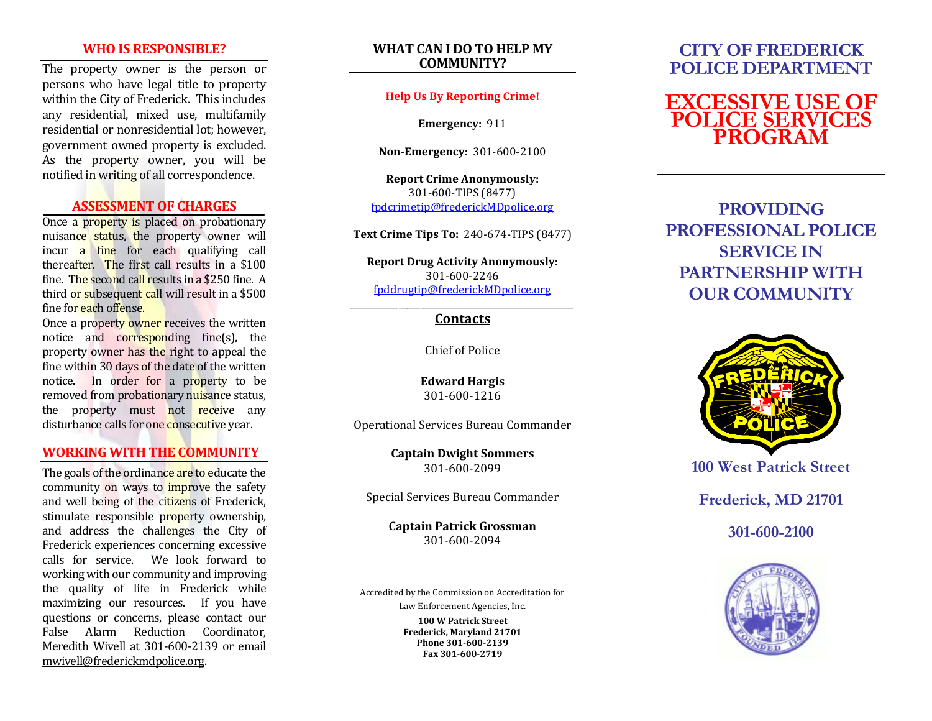### **WHO IS RESPONSIBLE ?**

The property owner is the person or persons who have legal title to property within the City of Frederick. This includes any residential, mixed use, multifamily residential or nonresidential lot; however , government owned property is excluded. As the property owner, you will be notified in writing of all correspondence.

### **ASSESSMENT OF CHARGES**

Once a property is placed on probationary nuisance status, the property owner will incur a fine for each qualifying call thereafter. The first call results in a \$100 fine. The second call results in a \$250 fine. A third or subsequent call will result in a \$500 fine for each offense.

Once a property owner receives the written notice and corresponding fine(s), the property owner has the right to appeal the fine within 30 days of the date of the written notice. In order for a property to be removed from probationary nuisance status, the property must not receive any disturbance calls for one consecutive year.

### **WORKING WITH THE COMMUNITY**

The goals of the ordinance are to educate the community on ways to *improve* the safety and well being of the citizens of Frederick, stimulate responsible property ownership, and address the challenges the City of Frederick experiences concerning excessive calls for service. We look forward to working with our community and improving the quality of life in Frederick while maximizing our resources. If you have questions or concerns, please contact our False Alarm Reduction Coordinator, Meredith Wivell at 301 -600 -2139 or email mwivell @frederickmdpolice.org .

### **WHAT CAN I DO TO HELP MY COMMUNITY?**

**Help Us By Reporting Crime!**

**Emergency:** 911

**Non -Emergency:** 301 -600 -2100

**Report Crime Anonymously:** 301 -600 -TIPS (8477) [fpdcrimetip@frederickMDpolice.org](mailto:fpdcrimetip@frederickMDpolice.org)

**Text Crime Tips To:** 240 -674 -TIPS (8477)

**Report Drug Activity Anonymously:** 301 -600 -2246 [fpddrugtip@frederickMDpolice.org](mailto:fpddrugtip@frederickMDpolice.org)

#### \_\_\_\_\_\_\_\_\_\_\_\_\_\_\_\_\_\_\_\_\_\_\_\_\_\_\_\_\_\_\_\_\_\_\_\_\_\_\_\_\_\_\_\_\_\_\_\_\_\_\_ **Contacts**

Chief of Police

**Edward Hargis** 301 -600 -121 6

Operational Services Bureau Commander

**Captain Dwight Sommers** 301 -600 -2099

Special Services Bureau Commander

**Captain Patrick Grossman** 301 -600 -2094

Accredited by the Commission on Accreditation for

Law Enforcement Agencies, Inc.

**100 W Patrick Street Frederick, Maryland 21701 Phone 301 -600 -2139 Fax 301 -600 -2719**

# **CITY OF FREDERICK POLICE DEPARTMENT**

# **EXCESSIVE USE OF POLICE SERVICES PROGRAM**

**PROVIDING PROFESSIONAL POLICE SERVICE IN PARTNERSHIP WITH OUR COMMUNITY**



**100 West Patrick Street**

**Frederick, MD 21701**

**301 -600 -2100**